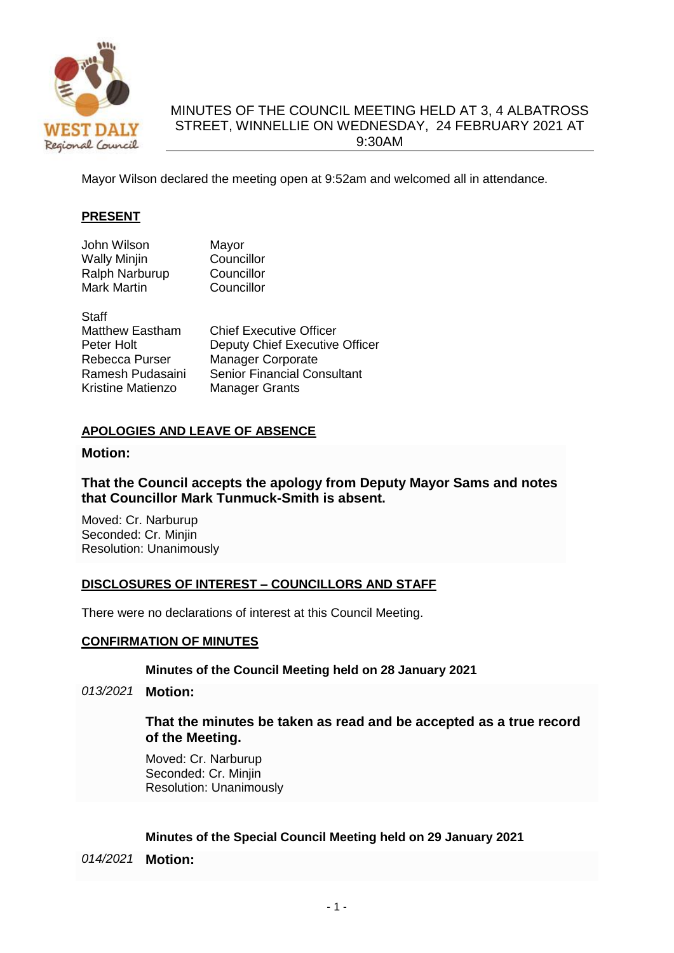

# MINUTES OF THE COUNCIL MEETING HELD AT 3, 4 ALBATROSS STREET, WINNELLIE ON WEDNESDAY, 24 FEBRUARY 2021 AT 9:30AM

Mayor Wilson declared the meeting open at 9:52am and welcomed all in attendance.

## **PRESENT**

| John Wilson    | Mayor      |
|----------------|------------|
| Wally Minjin   | Councillor |
| Ralph Narburup | Councillor |
| Mark Martin    | Councillor |
|                |            |

| Staff                    |                                    |
|--------------------------|------------------------------------|
| <b>Matthew Eastham</b>   | <b>Chief Executive Officer</b>     |
| Peter Holt               | Deputy Chief Executive Officer     |
| Rebecca Purser           | <b>Manager Corporate</b>           |
| Ramesh Pudasaini         | <b>Senior Financial Consultant</b> |
| <b>Kristine Matienzo</b> | <b>Manager Grants</b>              |

## **APOLOGIES AND LEAVE OF ABSENCE**

## **Motion:**

## **That the Council accepts the apology from Deputy Mayor Sams and notes that Councillor Mark Tunmuck-Smith is absent.**

Moved: Cr. Narburup Seconded: Cr. Minjin Resolution: Unanimously

## **DISCLOSURES OF INTEREST – COUNCILLORS AND STAFF**

There were no declarations of interest at this Council Meeting.

## **CONFIRMATION OF MINUTES**

## **Minutes of the Council Meeting held on 28 January 2021**

*013/2021* **Motion:**

## **That the minutes be taken as read and be accepted as a true record of the Meeting.**

Moved: Cr. Narburup Seconded: Cr. Minjin Resolution: Unanimously

## **Minutes of the Special Council Meeting held on 29 January 2021**

*014/2021* **Motion:**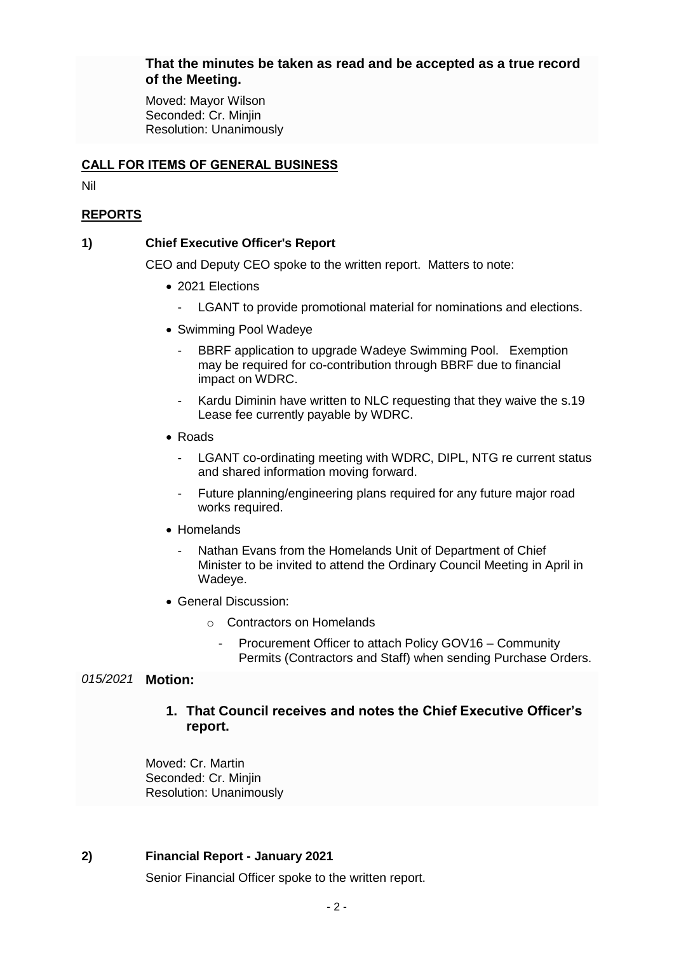## **That the minutes be taken as read and be accepted as a true record of the Meeting.**

Moved: Mayor Wilson Seconded: Cr. Minjin Resolution: Unanimously

## **CALL FOR ITEMS OF GENERAL BUSINESS**

Nil

# **REPORTS**

## **1) Chief Executive Officer's Report**

CEO and Deputy CEO spoke to the written report. Matters to note:

- 2021 Elections
	- LGANT to provide promotional material for nominations and elections.
- Swimming Pool Wadeye
	- BBRF application to upgrade Wadeye Swimming Pool. Exemption may be required for co-contribution through BBRF due to financial impact on WDRC.
	- Kardu Diminin have written to NLC requesting that they waive the s.19 Lease fee currently payable by WDRC.
- Roads
	- LGANT co-ordinating meeting with WDRC, DIPL, NTG re current status and shared information moving forward.
	- Future planning/engineering plans required for any future major road works required.
- Homelands
	- Nathan Evans from the Homelands Unit of Department of Chief Minister to be invited to attend the Ordinary Council Meeting in April in Wadeye.
- General Discussion:
	- o Contractors on Homelands
		- Procurement Officer to attach Policy GOV16 Community Permits (Contractors and Staff) when sending Purchase Orders.

# *015/2021* **Motion:**

# **1. That Council receives and notes the Chief Executive Officer's report.**

Moved: Cr. Martin Seconded: Cr. Minjin Resolution: Unanimously

## **2) Financial Report - January 2021**

Senior Financial Officer spoke to the written report.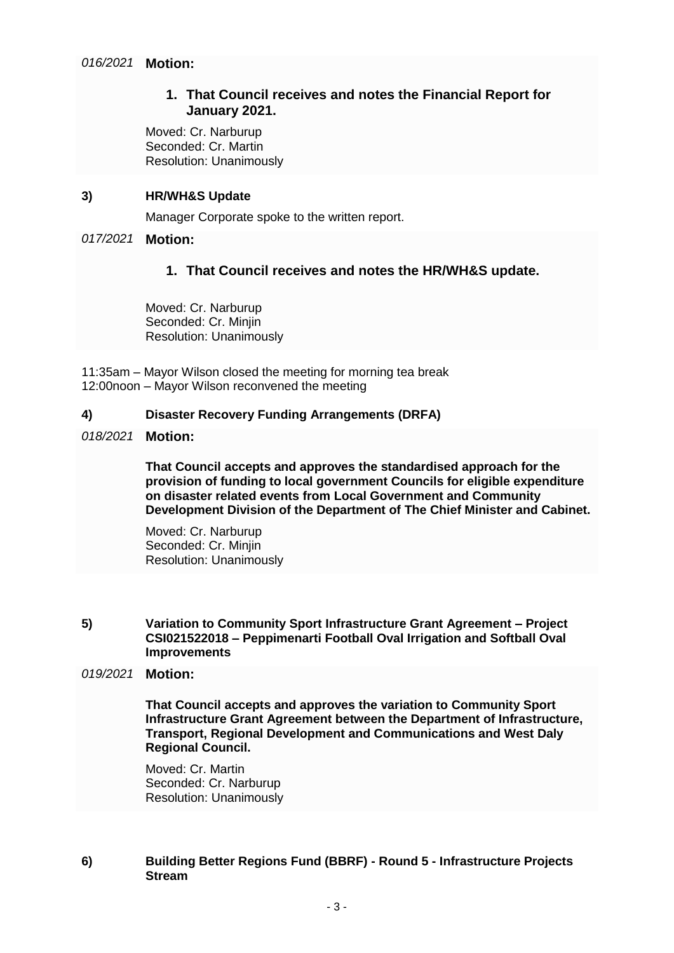# **1. That Council receives and notes the Financial Report for January 2021.**

Moved: Cr. Narburup Seconded: Cr. Martin Resolution: Unanimously

#### **3) HR/WH&S Update**

Manager Corporate spoke to the written report.

#### *017/2021* **Motion:**

## **1. That Council receives and notes the HR/WH&S update.**

Moved: Cr. Narburup Seconded: Cr. Minjin Resolution: Unanimously

11:35am – Mayor Wilson closed the meeting for morning tea break 12:00noon – Mayor Wilson reconvened the meeting

#### **4) Disaster Recovery Funding Arrangements (DRFA)**

#### *018/2021* **Motion:**

**That Council accepts and approves the standardised approach for the provision of funding to local government Councils for eligible expenditure on disaster related events from Local Government and Community Development Division of the Department of The Chief Minister and Cabinet.**

Moved: Cr. Narburup Seconded: Cr. Minjin Resolution: Unanimously

#### **5) Variation to Community Sport Infrastructure Grant Agreement – Project CSI021522018 – Peppimenarti Football Oval Irrigation and Softball Oval Improvements**

#### *019/2021* **Motion:**

**That Council accepts and approves the variation to Community Sport Infrastructure Grant Agreement between the Department of Infrastructure, Transport, Regional Development and Communications and West Daly Regional Council.**

Moved: Cr. Martin Seconded: Cr. Narburup Resolution: Unanimously

## **6) Building Better Regions Fund (BBRF) - Round 5 - Infrastructure Projects Stream**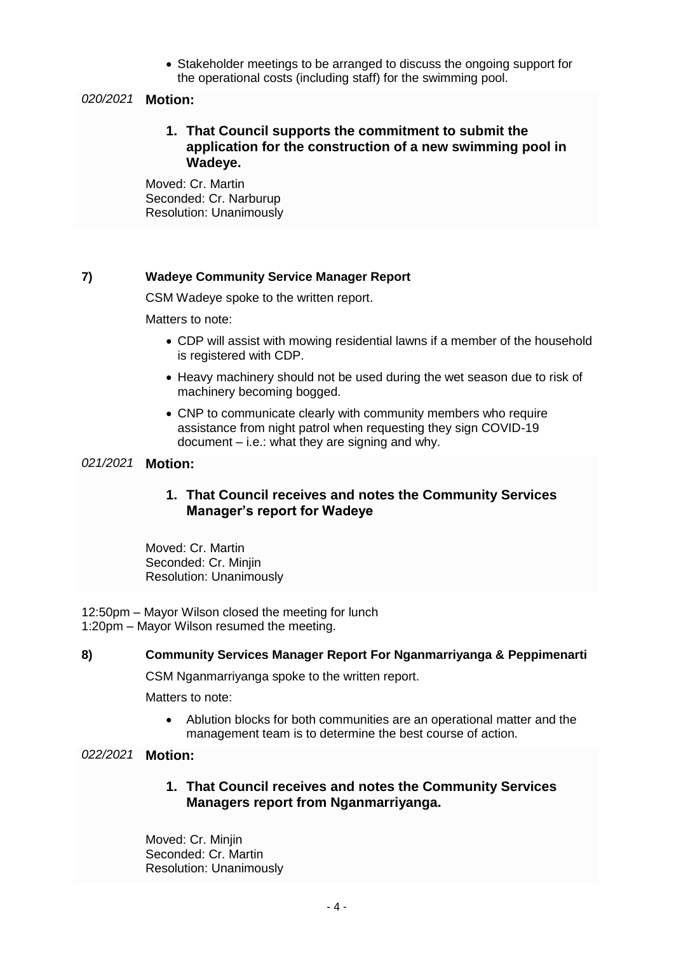• Stakeholder meetings to be arranged to discuss the ongoing support for the operational costs (including staff) for the swimming pool.

## *020/2021* **Motion:**

**1. That Council supports the commitment to submit the application for the construction of a new swimming pool in Wadeye.** 

Moved: Cr. Martin Seconded: Cr. Narburup Resolution: Unanimously

## **7) Wadeye Community Service Manager Report**

CSM Wadeye spoke to the written report.

Matters to note:

- CDP will assist with mowing residential lawns if a member of the household is registered with CDP.
- Heavy machinery should not be used during the wet season due to risk of machinery becoming bogged.
- CNP to communicate clearly with community members who require assistance from night patrol when requesting they sign COVID-19 document – i.e.: what they are signing and why.

## *021/2021* **Motion:**

# **1. That Council receives and notes the Community Services Manager's report for Wadeye**

Moved: Cr. Martin Seconded: Cr. Minjin Resolution: Unanimously

12:50pm – Mayor Wilson closed the meeting for lunch 1:20pm – Mayor Wilson resumed the meeting.

#### **8) Community Services Manager Report For Nganmarriyanga & Peppimenarti**

CSM Nganmarriyanga spoke to the written report.

Matters to note:

 Ablution blocks for both communities are an operational matter and the management team is to determine the best course of action.

#### *022/2021* **Motion:**

**1. That Council receives and notes the Community Services Managers report from Nganmarriyanga.** 

Moved: Cr. Minjin Seconded: Cr. Martin Resolution: Unanimously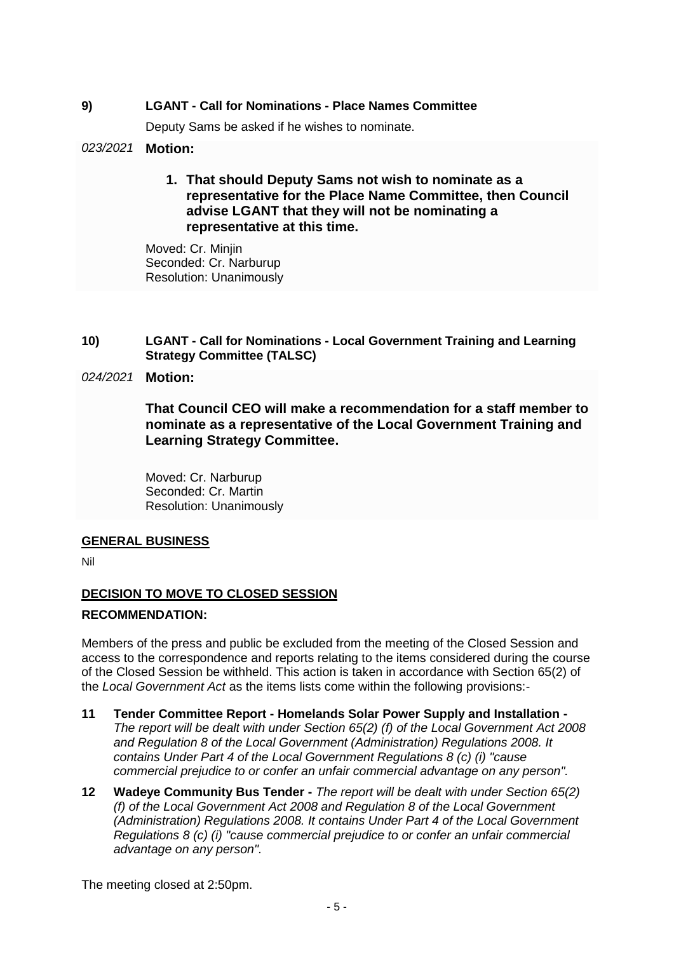## **9) LGANT - Call for Nominations - Place Names Committee**

Deputy Sams be asked if he wishes to nominate.

## *023/2021* **Motion:**

**1. That should Deputy Sams not wish to nominate as a representative for the Place Name Committee, then Council advise LGANT that they will not be nominating a representative at this time.** 

Moved: Cr. Minjin Seconded: Cr. Narburup Resolution: Unanimously

**10) LGANT - Call for Nominations - Local Government Training and Learning Strategy Committee (TALSC)**

## *024/2021* **Motion:**

**That Council CEO will make a recommendation for a staff member to nominate as a representative of the Local Government Training and Learning Strategy Committee.** 

Moved: Cr. Narburup Seconded: Cr. Martin Resolution: Unanimously

## **GENERAL BUSINESS**

Nil

# **DECISION TO MOVE TO CLOSED SESSION**

## **RECOMMENDATION:**

Members of the press and public be excluded from the meeting of the Closed Session and access to the correspondence and reports relating to the items considered during the course of the Closed Session be withheld. This action is taken in accordance with Section 65(2) of the *Local Government Act* as the items lists come within the following provisions:-

- **11 Tender Committee Report - Homelands Solar Power Supply and Installation -** *The report will be dealt with under Section 65(2) (f) of the Local Government Act 2008 and Regulation 8 of the Local Government (Administration) Regulations 2008. It contains Under Part 4 of the Local Government Regulations 8 (c) (i) "cause commercial prejudice to or confer an unfair commercial advantage on any person".*
- **12 Wadeye Community Bus Tender -** *The report will be dealt with under Section 65(2) (f) of the Local Government Act 2008 and Regulation 8 of the Local Government (Administration) Regulations 2008. It contains Under Part 4 of the Local Government Regulations 8 (c) (i) "cause commercial prejudice to or confer an unfair commercial advantage on any person".*

The meeting closed at 2:50pm.